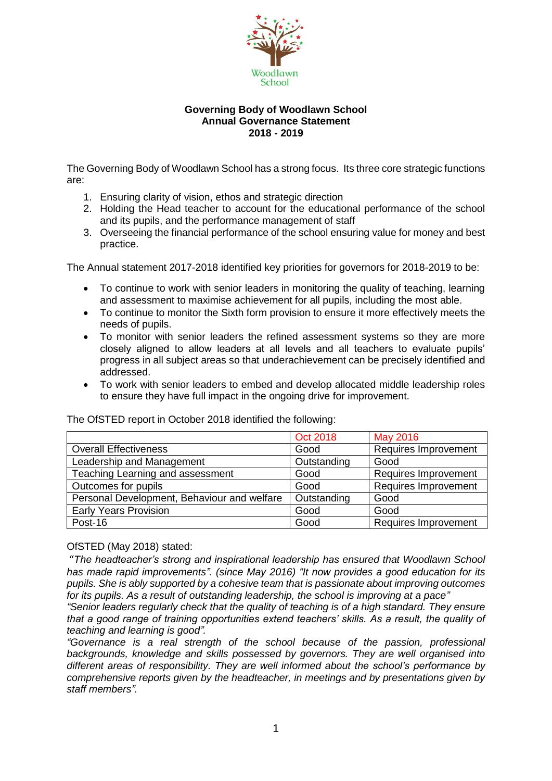

#### **Governing Body of Woodlawn School Annual Governance Statement 2018 - 2019**

The Governing Body of Woodlawn School has a strong focus. Its three core strategic functions are:

- 1. Ensuring clarity of vision, ethos and strategic direction
- 2. Holding the Head teacher to account for the educational performance of the school and its pupils, and the performance management of staff
- 3. Overseeing the financial performance of the school ensuring value for money and best practice.

The Annual statement 2017-2018 identified key priorities for governors for 2018-2019 to be:

- To continue to work with senior leaders in monitoring the quality of teaching, learning and assessment to maximise achievement for all pupils, including the most able.
- To continue to monitor the Sixth form provision to ensure it more effectively meets the needs of pupils.
- To monitor with senior leaders the refined assessment systems so they are more closely aligned to allow leaders at all levels and all teachers to evaluate pupils' progress in all subject areas so that underachievement can be precisely identified and addressed.
- To work with senior leaders to embed and develop allocated middle leadership roles to ensure they have full impact in the ongoing drive for improvement.

|                                             | <b>Oct 2018</b> | <b>May 2016</b>      |
|---------------------------------------------|-----------------|----------------------|
| <b>Overall Effectiveness</b>                | Good            | Requires Improvement |
| Leadership and Management                   | Outstanding     | Good                 |
| Teaching Learning and assessment            | Good            | Requires Improvement |
| Outcomes for pupils                         | Good            | Requires Improvement |
| Personal Development, Behaviour and welfare | Outstanding     | Good                 |
| <b>Early Years Provision</b>                | Good            | Good                 |
| Post-16                                     | Good            | Requires Improvement |

The OfSTED report in October 2018 identified the following:

## OfSTED (May 2018) stated:

"*The headteacher's strong and inspirational leadership has ensured that Woodlawn School has made rapid improvements". (since May 2016) "It now provides a good education for its pupils. She is ably supported by a cohesive team that is passionate about improving outcomes for its pupils. As a result of outstanding leadership, the school is improving at a pace"*

*"Senior leaders regularly check that the quality of teaching is of a high standard. They ensure that a good range of training opportunities extend teachers' skills. As a result, the quality of teaching and learning is good".* 

*"Governance is a real strength of the school because of the passion, professional backgrounds, knowledge and skills possessed by governors. They are well organised into different areas of responsibility. They are well informed about the school's performance by comprehensive reports given by the headteacher, in meetings and by presentations given by staff members".*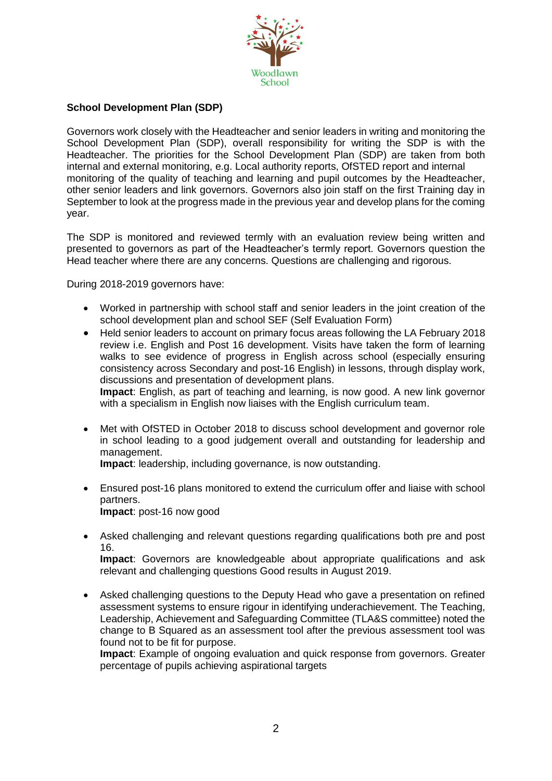

# **School Development Plan (SDP)**

Governors work closely with the Headteacher and senior leaders in writing and monitoring the School Development Plan (SDP), overall responsibility for writing the SDP is with the Headteacher. The priorities for the School Development Plan (SDP) are taken from both internal and external monitoring, e.g. Local authority reports, OfSTED report and internal monitoring of the quality of teaching and learning and pupil outcomes by the Headteacher, other senior leaders and link governors. Governors also join staff on the first Training day in September to look at the progress made in the previous year and develop plans for the coming year.

The SDP is monitored and reviewed termly with an evaluation review being written and presented to governors as part of the Headteacher's termly report. Governors question the Head teacher where there are any concerns. Questions are challenging and rigorous.

During 2018-2019 governors have:

- Worked in partnership with school staff and senior leaders in the joint creation of the school development plan and school SEF (Self Evaluation Form)
- Held senior leaders to account on primary focus areas following the LA February 2018 review i.e. English and Post 16 development. Visits have taken the form of learning walks to see evidence of progress in English across school (especially ensuring consistency across Secondary and post-16 English) in lessons, through display work, discussions and presentation of development plans. **Impact**: English, as part of teaching and learning, is now good. A new link governor

with a specialism in English now liaises with the English curriculum team.

 Met with OfSTED in October 2018 to discuss school development and governor role in school leading to a good judgement overall and outstanding for leadership and management.

**Impact**: leadership, including governance, is now outstanding.

- Ensured post-16 plans monitored to extend the curriculum offer and liaise with school partners. **Impact**: post-16 now good
- Asked challenging and relevant questions regarding qualifications both pre and post 16. **Impact**: Governors are knowledgeable about appropriate qualifications and ask

relevant and challenging questions Good results in August 2019.

 Asked challenging questions to the Deputy Head who gave a presentation on refined assessment systems to ensure rigour in identifying underachievement. The Teaching, Leadership, Achievement and Safeguarding Committee (TLA&S committee) noted the change to B Squared as an assessment tool after the previous assessment tool was found not to be fit for purpose.

**Impact**: Example of ongoing evaluation and quick response from governors. Greater percentage of pupils achieving aspirational targets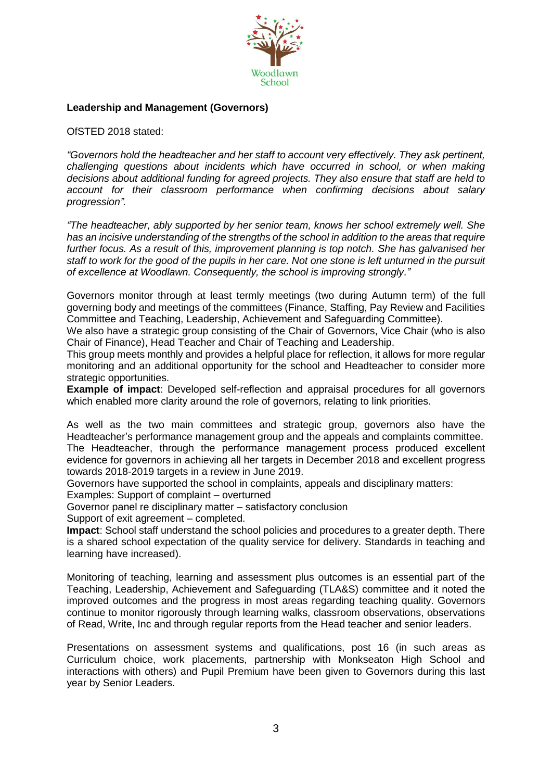

## **Leadership and Management (Governors)**

OfSTED 2018 stated:

*"Governors hold the headteacher and her staff to account very effectively. They ask pertinent, challenging questions about incidents which have occurred in school, or when making decisions about additional funding for agreed projects. They also ensure that staff are held to account for their classroom performance when confirming decisions about salary progression".* 

*"The headteacher, ably supported by her senior team, knows her school extremely well. She has an incisive understanding of the strengths of the school in addition to the areas that require further focus. As a result of this, improvement planning is top notch. She has galvanised her staff to work for the good of the pupils in her care. Not one stone is left unturned in the pursuit of excellence at Woodlawn. Consequently, the school is improving strongly."*

Governors monitor through at least termly meetings (two during Autumn term) of the full governing body and meetings of the committees (Finance, Staffing, Pay Review and Facilities Committee and Teaching, Leadership, Achievement and Safeguarding Committee).

We also have a strategic group consisting of the Chair of Governors, Vice Chair (who is also Chair of Finance), Head Teacher and Chair of Teaching and Leadership.

This group meets monthly and provides a helpful place for reflection, it allows for more regular monitoring and an additional opportunity for the school and Headteacher to consider more strategic opportunities.

**Example of impact**: Developed self-reflection and appraisal procedures for all governors which enabled more clarity around the role of governors, relating to link priorities.

As well as the two main committees and strategic group, governors also have the Headteacher's performance management group and the appeals and complaints committee. The Headteacher, through the performance management process produced excellent evidence for governors in achieving all her targets in December 2018 and excellent progress towards 2018-2019 targets in a review in June 2019.

Governors have supported the school in complaints, appeals and disciplinary matters:

Examples: Support of complaint – overturned

Governor panel re disciplinary matter – satisfactory conclusion

Support of exit agreement – completed.

**Impact**: School staff understand the school policies and procedures to a greater depth. There is a shared school expectation of the quality service for delivery. Standards in teaching and learning have increased).

Monitoring of teaching, learning and assessment plus outcomes is an essential part of the Teaching, Leadership, Achievement and Safeguarding (TLA&S) committee and it noted the improved outcomes and the progress in most areas regarding teaching quality. Governors continue to monitor rigorously through learning walks, classroom observations, observations of Read, Write, Inc and through regular reports from the Head teacher and senior leaders.

Presentations on assessment systems and qualifications, post 16 (in such areas as Curriculum choice, work placements, partnership with Monkseaton High School and interactions with others) and Pupil Premium have been given to Governors during this last year by Senior Leaders.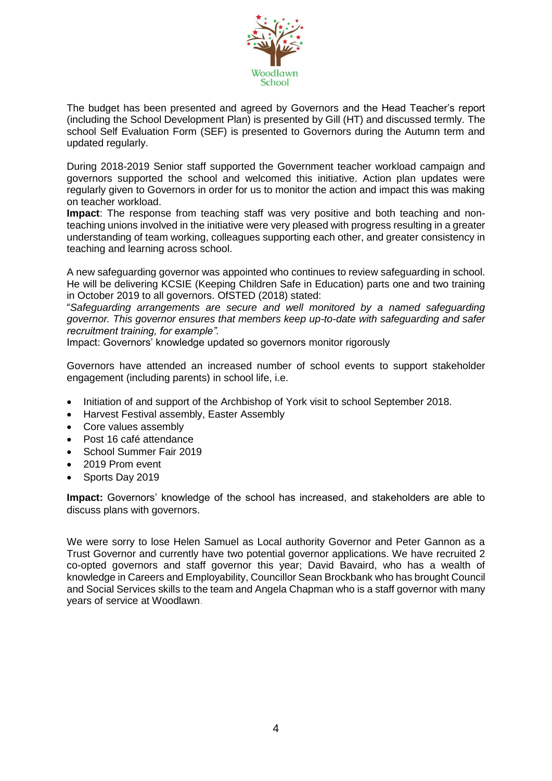

The budget has been presented and agreed by Governors and the Head Teacher's report (including the School Development Plan) is presented by Gill (HT) and discussed termly. The school Self Evaluation Form (SEF) is presented to Governors during the Autumn term and updated regularly.

During 2018-2019 Senior staff supported the Government teacher workload campaign and governors supported the school and welcomed this initiative. Action plan updates were regularly given to Governors in order for us to monitor the action and impact this was making on teacher workload.

**Impact**: The response from teaching staff was very positive and both teaching and nonteaching unions involved in the initiative were very pleased with progress resulting in a greater understanding of team working, colleagues supporting each other, and greater consistency in teaching and learning across school.

A new safeguarding governor was appointed who continues to review safeguarding in school. He will be delivering KCSIE (Keeping Children Safe in Education) parts one and two training in October 2019 to all governors. OfSTED (2018) stated:

"*Safeguarding arrangements are secure and well monitored by a named safeguarding governor. This governor ensures that members keep up-to-date with safeguarding and safer recruitment training, for example".*

Impact: Governors' knowledge updated so governors monitor rigorously

Governors have attended an increased number of school events to support stakeholder engagement (including parents) in school life, i.e.

- Initiation of and support of the Archbishop of York visit to school September 2018.
- Harvest Festival assembly, Easter Assembly
- Core values assembly
- Post 16 café attendance
- School Summer Fair 2019
- 2019 Prom event
- Sports Day 2019

**Impact:** Governors' knowledge of the school has increased, and stakeholders are able to discuss plans with governors.

We were sorry to lose Helen Samuel as Local authority Governor and Peter Gannon as a Trust Governor and currently have two potential governor applications. We have recruited 2 co-opted governors and staff governor this year; David Bavaird, who has a wealth of knowledge in Careers and Employability, Councillor Sean Brockbank who has brought Council and Social Services skills to the team and Angela Chapman who is a staff governor with many years of service at Woodlawn.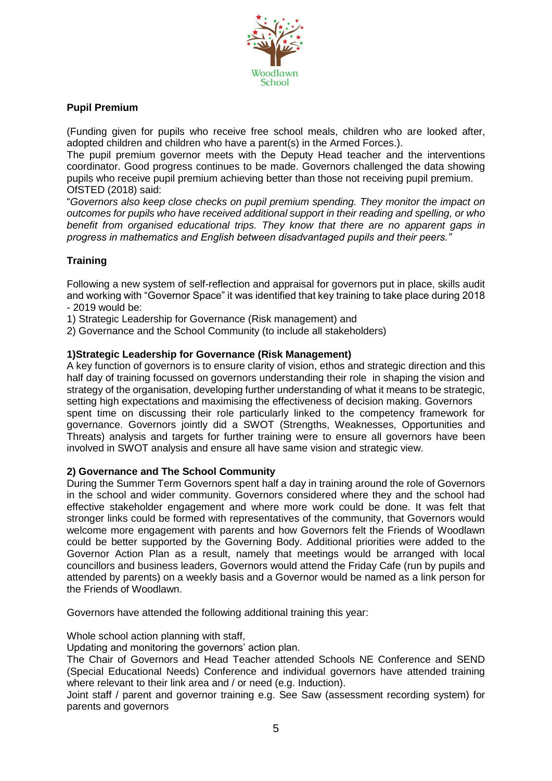

## **Pupil Premium**

(Funding given for pupils who receive free school meals, children who are looked after, adopted children and children who have a parent(s) in the Armed Forces.).

The pupil premium governor meets with the Deputy Head teacher and the interventions coordinator. Good progress continues to be made. Governors challenged the data showing pupils who receive pupil premium achieving better than those not receiving pupil premium. OfSTED (2018) said:

"*Governors also keep close checks on pupil premium spending. They monitor the impact on outcomes for pupils who have received additional support in their reading and spelling, or who benefit from organised educational trips. They know that there are no apparent gaps in progress in mathematics and English between disadvantaged pupils and their peers."*

# **Training**

Following a new system of self-reflection and appraisal for governors put in place, skills audit and working with "Governor Space" it was identified that key training to take place during 2018 - 2019 would be:

1) Strategic Leadership for Governance (Risk management) and

2) Governance and the School Community (to include all stakeholders)

#### **1)Strategic Leadership for Governance (Risk Management)**

A key function of governors is to ensure clarity of vision, ethos and strategic direction and this half day of training focussed on governors understanding their role in shaping the vision and strategy of the organisation, developing further understanding of what it means to be strategic, setting high expectations and maximising the effectiveness of decision making. Governors spent time on discussing their role particularly linked to the competency framework for governance. Governors jointly did a SWOT (Strengths, Weaknesses, Opportunities and Threats) analysis and targets for further training were to ensure all governors have been involved in SWOT analysis and ensure all have same vision and strategic view.

## **2) Governance and The School Community**

During the Summer Term Governors spent half a day in training around the role of Governors in the school and wider community. Governors considered where they and the school had effective stakeholder engagement and where more work could be done. It was felt that stronger links could be formed with representatives of the community, that Governors would welcome more engagement with parents and how Governors felt the Friends of Woodlawn could be better supported by the Governing Body. Additional priorities were added to the Governor Action Plan as a result, namely that meetings would be arranged with local councillors and business leaders, Governors would attend the Friday Cafe (run by pupils and attended by parents) on a weekly basis and a Governor would be named as a link person for the Friends of Woodlawn.

Governors have attended the following additional training this year:

Whole school action planning with staff,

Updating and monitoring the governors' action plan.

The Chair of Governors and Head Teacher attended Schools NE Conference and SEND (Special Educational Needs) Conference and individual governors have attended training where relevant to their link area and / or need (e.g. Induction).

Joint staff / parent and governor training e.g. See Saw (assessment recording system) for parents and governors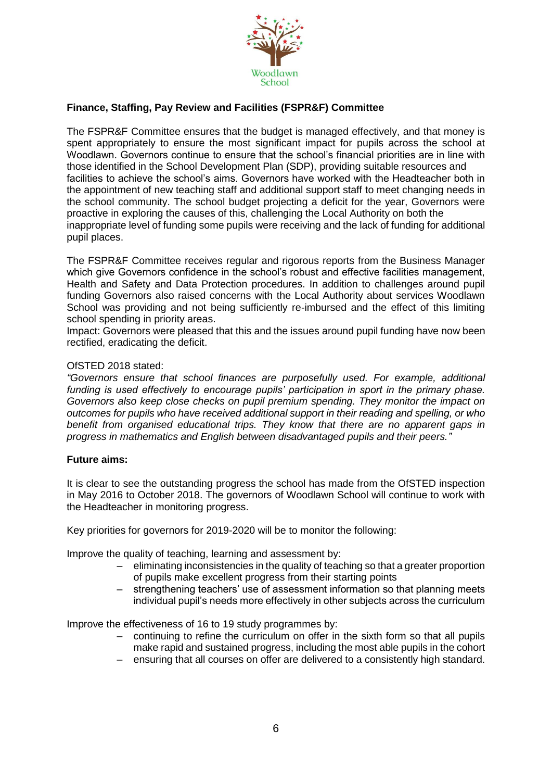

# **Finance, Staffing, Pay Review and Facilities (FSPR&F) Committee**

The FSPR&F Committee ensures that the budget is managed effectively, and that money is spent appropriately to ensure the most significant impact for pupils across the school at Woodlawn. Governors continue to ensure that the school's financial priorities are in line with those identified in the School Development Plan (SDP), providing suitable resources and facilities to achieve the school's aims. Governors have worked with the Headteacher both in the appointment of new teaching staff and additional support staff to meet changing needs in the school community. The school budget projecting a deficit for the year, Governors were proactive in exploring the causes of this, challenging the Local Authority on both the inappropriate level of funding some pupils were receiving and the lack of funding for additional pupil places.

The FSPR&F Committee receives regular and rigorous reports from the Business Manager which give Governors confidence in the school's robust and effective facilities management, Health and Safety and Data Protection procedures. In addition to challenges around pupil funding Governors also raised concerns with the Local Authority about services Woodlawn School was providing and not being sufficiently re-imbursed and the effect of this limiting school spending in priority areas.

Impact: Governors were pleased that this and the issues around pupil funding have now been rectified, eradicating the deficit.

#### OfSTED 2018 stated:

*"Governors ensure that school finances are purposefully used. For example, additional funding is used effectively to encourage pupils' participation in sport in the primary phase. Governors also keep close checks on pupil premium spending. They monitor the impact on outcomes for pupils who have received additional support in their reading and spelling, or who benefit from organised educational trips. They know that there are no apparent gaps in progress in mathematics and English between disadvantaged pupils and their peers."*

#### **Future aims:**

It is clear to see the outstanding progress the school has made from the OfSTED inspection in May 2016 to October 2018. The governors of Woodlawn School will continue to work with the Headteacher in monitoring progress.

Key priorities for governors for 2019-2020 will be to monitor the following:

Improve the quality of teaching, learning and assessment by:

- eliminating inconsistencies in the quality of teaching so that a greater proportion of pupils make excellent progress from their starting points
- strengthening teachers' use of assessment information so that planning meets individual pupil's needs more effectively in other subjects across the curriculum

Improve the effectiveness of 16 to 19 study programmes by:

- continuing to refine the curriculum on offer in the sixth form so that all pupils make rapid and sustained progress, including the most able pupils in the cohort
- ensuring that all courses on offer are delivered to a consistently high standard.